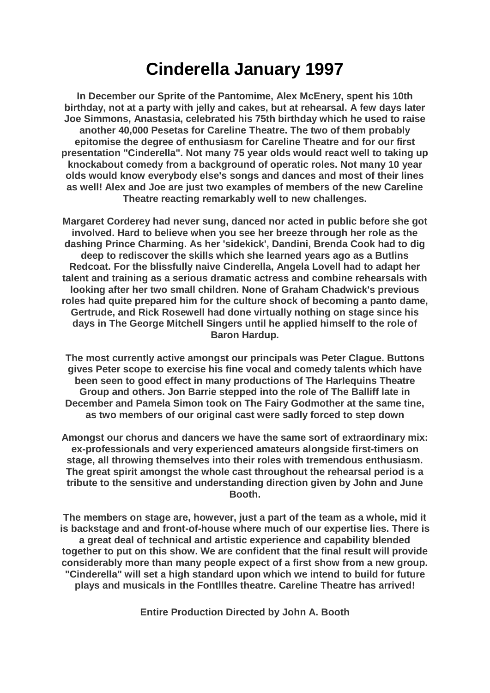## **Cinderella January 1997**

**In December our Sprite of the Pantomime, Alex McEnery, spent his 10th birthday, not at a party with jelly and cakes, but at rehearsal. A few days later Joe Simmons, Anastasia, celebrated his 75th birthday which he used to raise another 40,000 Pesetas for Careline Theatre. The two of them probably epitomise the degree of enthusiasm for Careline Theatre and for our first presentation "Cinderella". Not many 75 year olds would react well to taking up knockabout comedy from a background of operatic roles. Not many 10 year olds would know everybody else's songs and dances and most of their lines as well! Alex and Joe are just two examples of members of the new Careline Theatre reacting remarkably well to new challenges.**

**Margaret Corderey had never sung, danced nor acted in public before she got involved. Hard to believe when you see her breeze through her role as the dashing Prince Charming. As her 'sidekick', Dandini, Brenda Cook had to dig deep to rediscover the skills which she learned years ago as a Butlins Redcoat. For the blissfully naive Cinderella, Angela Lovell had to adapt her talent and training as a serious dramatic actress and combine rehearsals with looking after her two small children. None of Graham Chadwick's previous roles had quite prepared him for the culture shock of becoming a panto dame, Gertrude, and Rick Rosewell had done virtually nothing on stage since his days in The George Mitchell Singers until he applied himself to the role of Baron Hardup***.*

**The most currently active amongst our principals was Peter Clague. Buttons gives Peter scope to exercise his fine vocal and comedy talents which have been seen to good effect in many productions of The HarIequins Theatre Group and others. Jon Barrie stepped into the role of The Balliff late in December and Pamela Simon took on The Fairy Godmother at the same tine, as two members of our original cast were sadly forced to step down**

**Amongst our chorus and dancers we have the same sort of extraordinary mix: ex-professionals and very experienced amateurs alongside first-timers on stage, all throwing themselves into their roles with tremendous enthusiasm. The great spirit amongst the whole cast throughout the rehearsal period is a tribute to the sensitive and understanding direction given by John and June Booth.**

**The members on stage are, however, just a part of the team as a whole, mid it is backstage and and front-of-house where much of our expertise lies. There is a great deal of technical and artistic experience and capability blended together to put on this show. We are confident that the final result will provide considerably more than many people expect of a first show from a new group. "Cinderella" will set a high standard upon which we intend to build for future plays and musicals in the Fontllles theatre. Careline Theatre has arrived!**

**Entire Production Directed by John A. Booth**